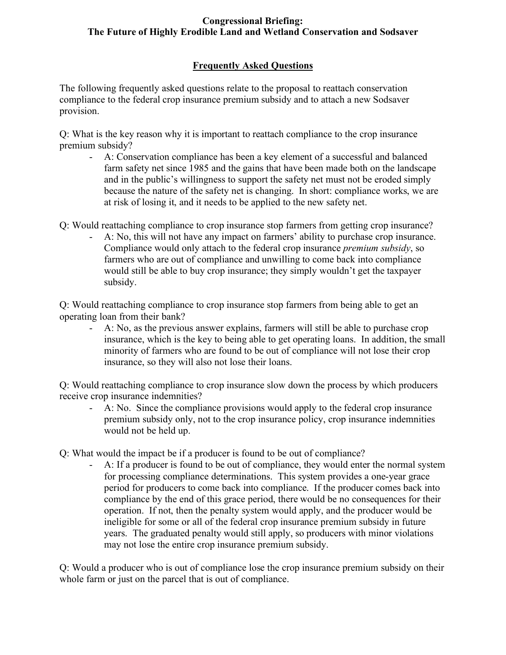# **Frequently Asked Questions**

The following frequently asked questions relate to the proposal to reattach conservation compliance to the federal crop insurance premium subsidy and to attach a new Sodsaver provision.

Q: What is the key reason why it is important to reattach compliance to the crop insurance premium subsidy?

- A: Conservation compliance has been a key element of a successful and balanced farm safety net since 1985 and the gains that have been made both on the landscape and in the public's willingness to support the safety net must not be eroded simply because the nature of the safety net is changing. In short: compliance works, we are at risk of losing it, and it needs to be applied to the new safety net.
- Q: Would reattaching compliance to crop insurance stop farmers from getting crop insurance?
	- A: No, this will not have any impact on farmers' ability to purchase crop insurance. Compliance would only attach to the federal crop insurance *premium subsidy*, so farmers who are out of compliance and unwilling to come back into compliance would still be able to buy crop insurance; they simply wouldn't get the taxpayer subsidy.

Q: Would reattaching compliance to crop insurance stop farmers from being able to get an operating loan from their bank?

- A: No, as the previous answer explains, farmers will still be able to purchase crop insurance, which is the key to being able to get operating loans. In addition, the small minority of farmers who are found to be out of compliance will not lose their crop insurance, so they will also not lose their loans.

Q: Would reattaching compliance to crop insurance slow down the process by which producers receive crop insurance indemnities?

- A: No. Since the compliance provisions would apply to the federal crop insurance premium subsidy only, not to the crop insurance policy, crop insurance indemnities would not be held up.
- Q: What would the impact be if a producer is found to be out of compliance?
	- A: If a producer is found to be out of compliance, they would enter the normal system for processing compliance determinations. This system provides a one-year grace period for producers to come back into compliance. If the producer comes back into compliance by the end of this grace period, there would be no consequences for their operation. If not, then the penalty system would apply, and the producer would be ineligible for some or all of the federal crop insurance premium subsidy in future years. The graduated penalty would still apply, so producers with minor violations may not lose the entire crop insurance premium subsidy.

Q: Would a producer who is out of compliance lose the crop insurance premium subsidy on their whole farm or just on the parcel that is out of compliance.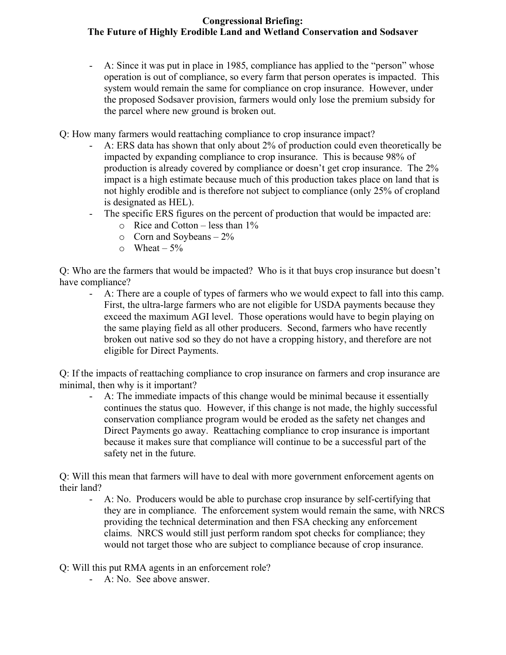- A: Since it was put in place in 1985, compliance has applied to the "person" whose operation is out of compliance, so every farm that person operates is impacted. This system would remain the same for compliance on crop insurance. However, under the proposed Sodsaver provision, farmers would only lose the premium subsidy for the parcel where new ground is broken out.
- Q: How many farmers would reattaching compliance to crop insurance impact?
	- A: ERS data has shown that only about 2% of production could even theoretically be impacted by expanding compliance to crop insurance. This is because 98% of production is already covered by compliance or doesn't get crop insurance. The 2% impact is a high estimate because much of this production takes place on land that is not highly erodible and is therefore not subject to compliance (only 25% of cropland is designated as HEL).
	- The specific ERS figures on the percent of production that would be impacted are:  $\circ$  Rice and Cotton – less than 1%
		- $\circ$  Corn and Soybeans 2%
		- $\circ$  Wheat 5%

Q: Who are the farmers that would be impacted? Who is it that buys crop insurance but doesn't have compliance?

- A: There are a couple of types of farmers who we would expect to fall into this camp. First, the ultra-large farmers who are not eligible for USDA payments because they exceed the maximum AGI level. Those operations would have to begin playing on the same playing field as all other producers. Second, farmers who have recently broken out native sod so they do not have a cropping history, and therefore are not eligible for Direct Payments.

Q: If the impacts of reattaching compliance to crop insurance on farmers and crop insurance are minimal, then why is it important?

- A: The immediate impacts of this change would be minimal because it essentially continues the status quo. However, if this change is not made, the highly successful conservation compliance program would be eroded as the safety net changes and Direct Payments go away. Reattaching compliance to crop insurance is important because it makes sure that compliance will continue to be a successful part of the safety net in the future.

Q: Will this mean that farmers will have to deal with more government enforcement agents on their land?

- A: No. Producers would be able to purchase crop insurance by self-certifying that they are in compliance. The enforcement system would remain the same, with NRCS providing the technical determination and then FSA checking any enforcement claims. NRCS would still just perform random spot checks for compliance; they would not target those who are subject to compliance because of crop insurance.
- Q: Will this put RMA agents in an enforcement role?
	- A: No. See above answer.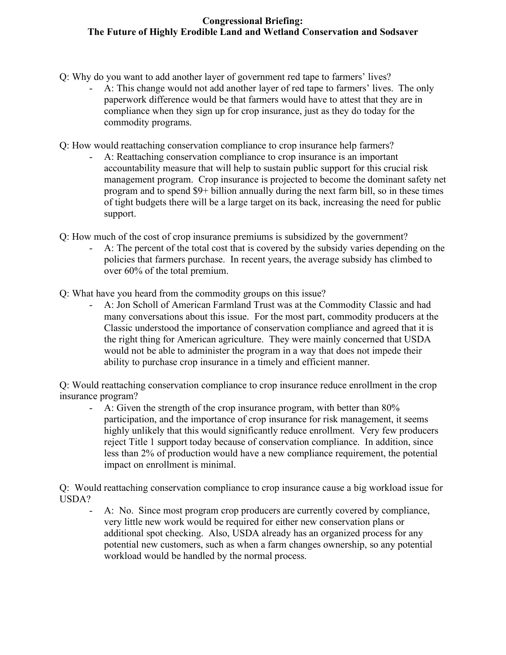- Q: Why do you want to add another layer of government red tape to farmers' lives?
	- A: This change would not add another layer of red tape to farmers' lives. The only paperwork difference would be that farmers would have to attest that they are in compliance when they sign up for crop insurance, just as they do today for the commodity programs.
- Q: How would reattaching conservation compliance to crop insurance help farmers?
	- A: Reattaching conservation compliance to crop insurance is an important accountability measure that will help to sustain public support for this crucial risk management program. Crop insurance is projected to become the dominant safety net program and to spend \$9+ billion annually during the next farm bill, so in these times of tight budgets there will be a large target on its back, increasing the need for public support.
- Q: How much of the cost of crop insurance premiums is subsidized by the government?
	- A: The percent of the total cost that is covered by the subsidy varies depending on the policies that farmers purchase. In recent years, the average subsidy has climbed to over 60% of the total premium.
- Q: What have you heard from the commodity groups on this issue?
	- A: Jon Scholl of American Farmland Trust was at the Commodity Classic and had many conversations about this issue. For the most part, commodity producers at the Classic understood the importance of conservation compliance and agreed that it is the right thing for American agriculture. They were mainly concerned that USDA would not be able to administer the program in a way that does not impede their ability to purchase crop insurance in a timely and efficient manner.

Q: Would reattaching conservation compliance to crop insurance reduce enrollment in the crop insurance program?

- A: Given the strength of the crop insurance program, with better than 80% participation, and the importance of crop insurance for risk management, it seems highly unlikely that this would significantly reduce enrollment. Very few producers reject Title 1 support today because of conservation compliance. In addition, since less than 2% of production would have a new compliance requirement, the potential impact on enrollment is minimal.

Q: Would reattaching conservation compliance to crop insurance cause a big workload issue for USDA?

- A: No. Since most program crop producers are currently covered by compliance, very little new work would be required for either new conservation plans or additional spot checking. Also, USDA already has an organized process for any potential new customers, such as when a farm changes ownership, so any potential workload would be handled by the normal process.